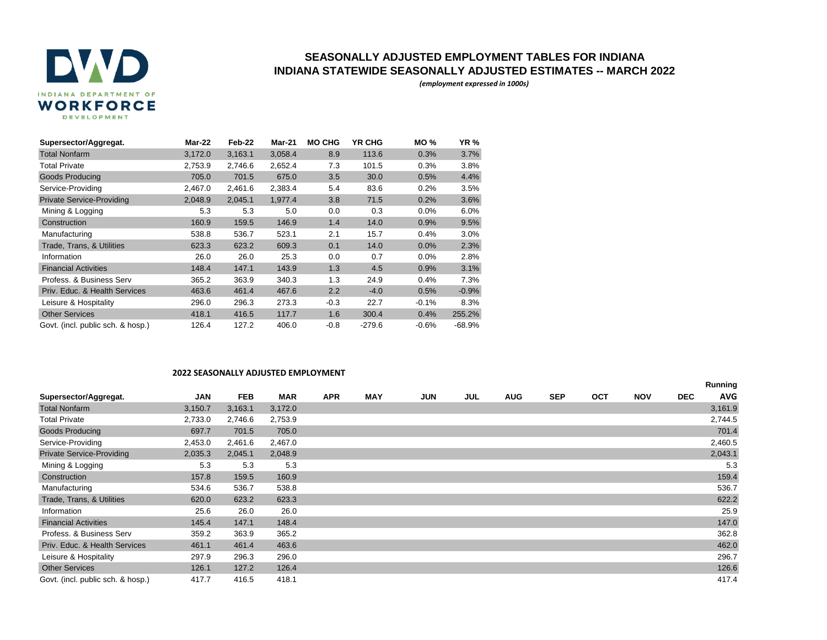

## **SEASONALLY ADJUSTED EMPLOYMENT TABLES FOR INDIANA INDIANA STATEWIDE SEASONALLY ADJUSTED ESTIMATES -- MARCH 2022**

*(employment expressed in 1000s)*

| Supersector/Aggregat.             | Mar-22  | Feb-22  | <b>Mar-21</b> | <b>MO CHG</b> | <b>YR CHG</b> | <b>MO%</b> | <b>YR %</b> |
|-----------------------------------|---------|---------|---------------|---------------|---------------|------------|-------------|
| <b>Total Nonfarm</b>              | 3,172.0 | 3,163.1 | 3,058.4       | 8.9           | 113.6         | 0.3%       | 3.7%        |
| <b>Total Private</b>              | 2.753.9 | 2,746.6 | 2,652.4       | 7.3           | 101.5         | 0.3%       | 3.8%        |
| <b>Goods Producing</b>            | 705.0   | 701.5   | 675.0         | 3.5           | 30.0          | 0.5%       | 4.4%        |
| Service-Providing                 | 2,467.0 | 2,461.6 | 2,383.4       | 5.4           | 83.6          | 0.2%       | 3.5%        |
| <b>Private Service-Providing</b>  | 2,048.9 | 2,045.1 | 1,977.4       | 3.8           | 71.5          | 0.2%       | 3.6%        |
| Mining & Logging                  | 5.3     | 5.3     | 5.0           | 0.0           | 0.3           | 0.0%       | 6.0%        |
| Construction                      | 160.9   | 159.5   | 146.9         | 1.4           | 14.0          | 0.9%       | 9.5%        |
| Manufacturing                     | 538.8   | 536.7   | 523.1         | 2.1           | 15.7          | 0.4%       | 3.0%        |
| Trade, Trans, & Utilities         | 623.3   | 623.2   | 609.3         | 0.1           | 14.0          | 0.0%       | 2.3%        |
| Information                       | 26.0    | 26.0    | 25.3          | 0.0           | 0.7           | 0.0%       | 2.8%        |
| <b>Financial Activities</b>       | 148.4   | 147.1   | 143.9         | 1.3           | 4.5           | 0.9%       | 3.1%        |
| Profess, & Business Serv          | 365.2   | 363.9   | 340.3         | 1.3           | 24.9          | 0.4%       | 7.3%        |
| Priv. Educ. & Health Services     | 463.6   | 461.4   | 467.6         | 2.2           | $-4.0$        | 0.5%       | $-0.9%$     |
| Leisure & Hospitality             | 296.0   | 296.3   | 273.3         | $-0.3$        | 22.7          | $-0.1%$    | 8.3%        |
| <b>Other Services</b>             | 418.1   | 416.5   | 117.7         | 1.6           | 300.4         | 0.4%       | 255.2%      |
| Govt. (incl. public sch. & hosp.) | 126.4   | 127.2   | 406.0         | $-0.8$        | $-279.6$      | $-0.6%$    | $-68.9%$    |

## **2022 SEASONALLY ADJUSTED EMPLOYMENT**

|                                   |            |            |         |            |            |            |     |            |            |            |            |            | Running    |
|-----------------------------------|------------|------------|---------|------------|------------|------------|-----|------------|------------|------------|------------|------------|------------|
| Supersector/Aggregat.             | <b>JAN</b> | <b>FEB</b> | MAR     | <b>APR</b> | <b>MAY</b> | <b>JUN</b> | JUL | <b>AUG</b> | <b>SEP</b> | <b>OCT</b> | <b>NOV</b> | <b>DEC</b> | <b>AVG</b> |
| <b>Total Nonfarm</b>              | 3,150.7    | 3,163.1    | 3,172.0 |            |            |            |     |            |            |            |            |            | 3,161.9    |
| <b>Total Private</b>              | 2,733.0    | 2,746.6    | 2,753.9 |            |            |            |     |            |            |            |            |            | 2,744.5    |
| <b>Goods Producing</b>            | 697.7      | 701.5      | 705.0   |            |            |            |     |            |            |            |            |            | 701.4      |
| Service-Providing                 | 2,453.0    | 2,461.6    | 2,467.0 |            |            |            |     |            |            |            |            |            | 2,460.5    |
| <b>Private Service-Providing</b>  | 2,035.3    | 2,045.1    | 2,048.9 |            |            |            |     |            |            |            |            |            | 2,043.1    |
| Mining & Logging                  | 5.3        | 5.3        | 5.3     |            |            |            |     |            |            |            |            |            | 5.3        |
| Construction                      | 157.8      | 159.5      | 160.9   |            |            |            |     |            |            |            |            |            | 159.4      |
| Manufacturing                     | 534.6      | 536.7      | 538.8   |            |            |            |     |            |            |            |            |            | 536.7      |
| Trade, Trans, & Utilities         | 620.0      | 623.2      | 623.3   |            |            |            |     |            |            |            |            |            | 622.2      |
| Information                       | 25.6       | 26.0       | 26.0    |            |            |            |     |            |            |            |            |            | 25.9       |
| <b>Financial Activities</b>       | 145.4      | 147.1      | 148.4   |            |            |            |     |            |            |            |            |            | 147.0      |
| Profess, & Business Serv          | 359.2      | 363.9      | 365.2   |            |            |            |     |            |            |            |            |            | 362.8      |
| Priv. Educ. & Health Services     | 461.1      | 461.4      | 463.6   |            |            |            |     |            |            |            |            |            | 462.0      |
| Leisure & Hospitality             | 297.9      | 296.3      | 296.0   |            |            |            |     |            |            |            |            |            | 296.7      |
| <b>Other Services</b>             | 126.1      | 127.2      | 126.4   |            |            |            |     |            |            |            |            |            | 126.6      |
| Govt. (incl. public sch. & hosp.) | 417.7      | 416.5      | 418.1   |            |            |            |     |            |            |            |            |            | 417.4      |